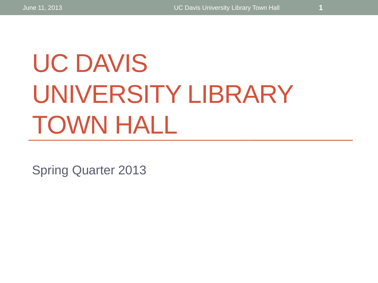# UC DAVIS UNIVERSITY LIBRARY TOWN HALL

Spring Quarter 2013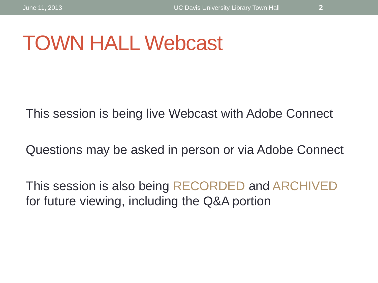## TOWN HALL Webcast

This session is being live Webcast with Adobe Connect

Questions may be asked in person or via Adobe Connect

This session is also being RECORDED and ARCHIVED for future viewing, including the Q&A portion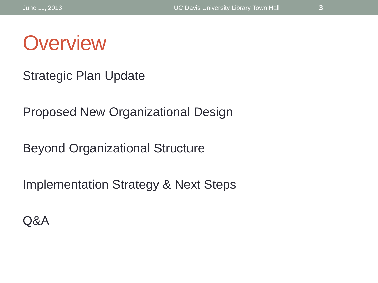

Strategic Plan Update

Proposed New Organizational Design

Beyond Organizational Structure

Implementation Strategy & Next Steps

Q&A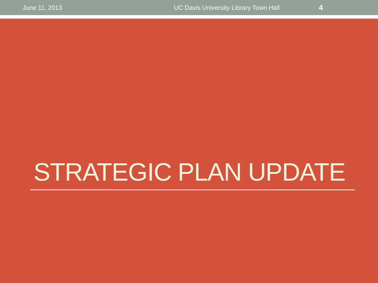# STRATEGIC PLAN UPDATE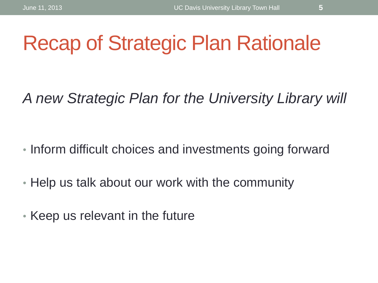# Recap of Strategic Plan Rationale

*A new Strategic Plan for the University Library will* 

- Inform difficult choices and investments going forward
- Help us talk about our work with the community
- Keep us relevant in the future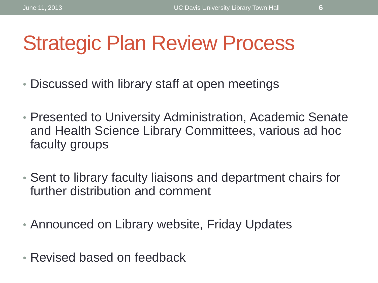# Strategic Plan Review Process

- Discussed with library staff at open meetings
- Presented to University Administration, Academic Senate and Health Science Library Committees, various ad hoc faculty groups
- Sent to library faculty liaisons and department chairs for further distribution and comment
- Announced on Library website, Friday Updates
- Revised based on feedback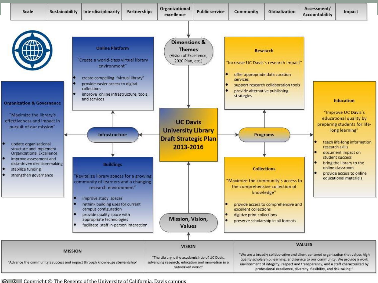

2. Copyright © The Regents of the University of California. Davis campus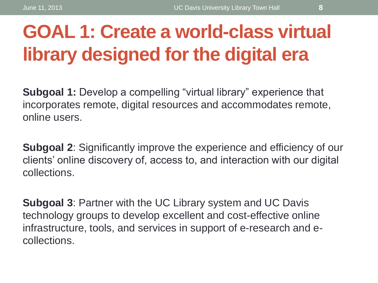# **GOAL 1: Create a world-class virtual library designed for the digital era**

**Subgoal 1:** Develop a compelling "virtual library" experience that incorporates remote, digital resources and accommodates remote, online users.

**Subgoal 2**: Significantly improve the experience and efficiency of our clients' online discovery of, access to, and interaction with our digital collections.

**Subgoal 3**: Partner with the UC Library system and UC Davis technology groups to develop excellent and cost-effective online infrastructure, tools, and services in support of e-research and ecollections.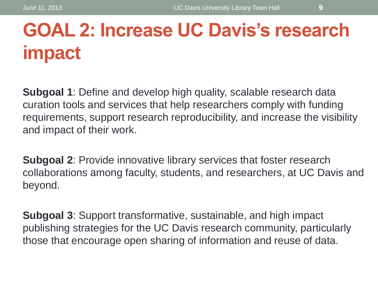# **GOAL 2: Increase UC Davis's research impact**

**Subgoal 1**: Define and develop high quality, scalable research data curation tools and services that help researchers comply with funding requirements, support research reproducibility, and increase the visibility and impact of their work.

**Subgoal 2**: Provide innovative library services that foster research collaborations among faculty, students, and researchers, at UC Davis and beyond.

**Subgoal 3**: Support transformative, sustainable, and high impact publishing strategies for the UC Davis research community, particularly those that encourage open sharing of information and reuse of data.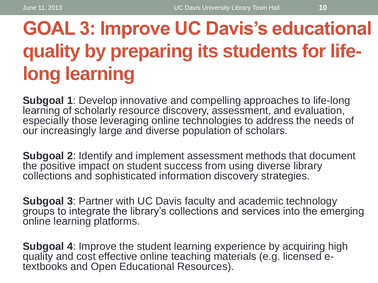# **GOAL 3: Improve UC Davis's educational quality by preparing its students for lifelong learning**

**Subgoal 1**: Develop innovative and compelling approaches to life-long learning of scholarly resource discovery, assessment, and evaluation, especially those leveraging online technologies to address the needs of our increasingly large and diverse population of scholars.

**Subgoal 2**: Identify and implement assessment methods that document the positive impact on student success from using diverse library collections and sophisticated information discovery strategies.

**Subgoal 3**: Partner with UC Davis faculty and academic technology groups to integrate the library's collections and services into the emerging online learning platforms.

**Subgoal 4**: Improve the student learning experience by acquiring high quality and cost effective online teaching materials (e.g. licensed etextbooks and Open Educational Resources).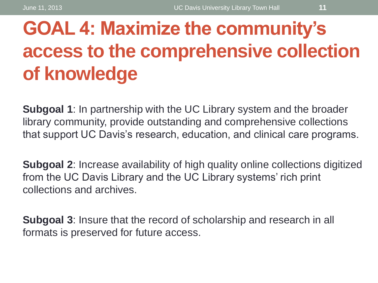# **GOAL 4: Maximize the community's access to the comprehensive collection of knowledge**

**Subgoal 1**: In partnership with the UC Library system and the broader library community, provide outstanding and comprehensive collections that support UC Davis's research, education, and clinical care programs.

**Subgoal 2**: Increase availability of high quality online collections digitized from the UC Davis Library and the UC Library systems' rich print collections and archives.

**Subgoal 3**: Insure that the record of scholarship and research in all formats is preserved for future access.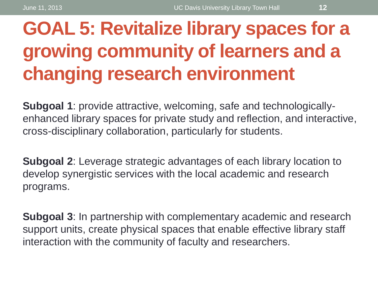## **GOAL 5: Revitalize library spaces for a growing community of learners and a changing research environment**

**Subgoal 1**: provide attractive, welcoming, safe and technologicallyenhanced library spaces for private study and reflection, and interactive, cross-disciplinary collaboration, particularly for students.

**Subgoal 2**: Leverage strategic advantages of each library location to develop synergistic services with the local academic and research programs.

**Subgoal 3**: In partnership with complementary academic and research support units, create physical spaces that enable effective library staff interaction with the community of faculty and researchers.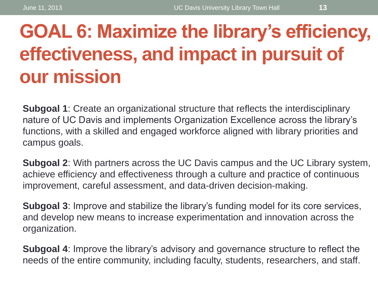# **GOAL 6: Maximize the library's efficiency, effectiveness, and impact in pursuit of our mission**

**Subgoal 1**: Create an organizational structure that reflects the interdisciplinary nature of UC Davis and implements Organization Excellence across the library's functions, with a skilled and engaged workforce aligned with library priorities and campus goals.

**Subgoal 2**: With partners across the UC Davis campus and the UC Library system, achieve efficiency and effectiveness through a culture and practice of continuous improvement, careful assessment, and data-driven decision-making.

**Subgoal 3**: Improve and stabilize the library's funding model for its core services, and develop new means to increase experimentation and innovation across the organization.

**Subgoal 4**: Improve the library's advisory and governance structure to reflect the needs of the entire community, including faculty, students, researchers, and staff.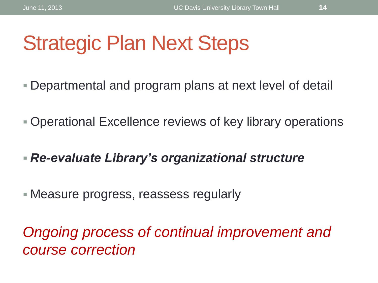# Strategic Plan Next Steps

- Departmental and program plans at next level of detail
- Operational Excellence reviews of key library operations
- *Re-evaluate Library's organizational structure*
- Measure progress, reassess regularly

*Ongoing process of continual improvement and course correction*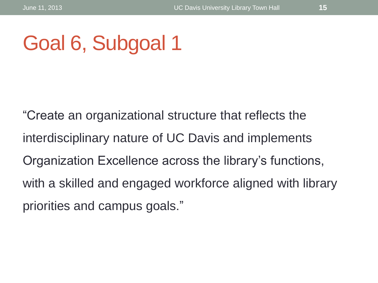# Goal 6, Subgoal 1

"Create an organizational structure that reflects the interdisciplinary nature of UC Davis and implements Organization Excellence across the library's functions, with a skilled and engaged workforce aligned with library priorities and campus goals."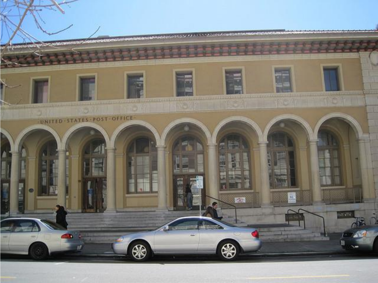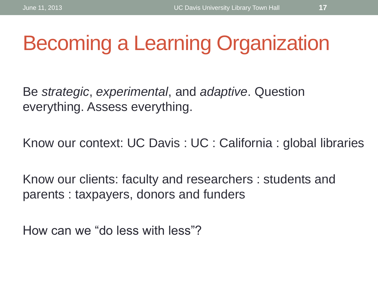# Becoming a Learning Organization

Be *strategic*, *experimental*, and *adaptive*. Question everything. Assess everything.

Know our context: UC Davis : UC : California : global libraries

Know our clients: faculty and researchers : students and parents : taxpayers, donors and funders

How can we "do less with less"?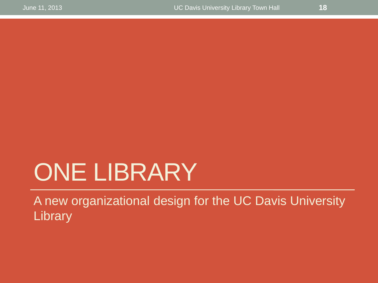# ONE LIBRARY

A new organizational design for the UC Davis University **Library**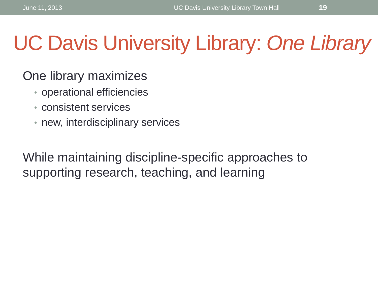# UC Davis University Library: *One Library*

#### One library maximizes

- operational efficiencies
- consistent services
- new, interdisciplinary services

While maintaining discipline-specific approaches to supporting research, teaching, and learning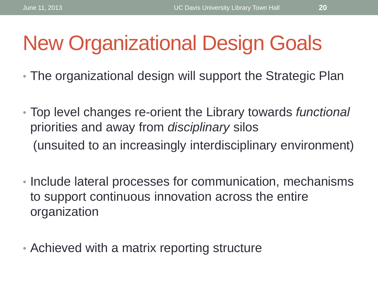# New Organizational Design Goals

- The organizational design will support the Strategic Plan
- Top level changes re-orient the Library towards *functional* priorities and away from *disciplinary* silos (unsuited to an increasingly interdisciplinary environment)
- Include lateral processes for communication, mechanisms to support continuous innovation across the entire organization
- Achieved with a matrix reporting structure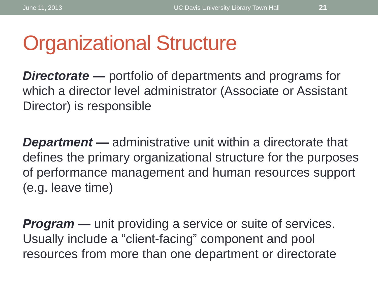# Organizational Structure

*Directorate —* portfolio of departments and programs for which a director level administrator (Associate or Assistant Director) is responsible

*Department —* administrative unit within a directorate that defines the primary organizational structure for the purposes of performance management and human resources support (e.g. leave time)

*Program* — unit providing a service or suite of services. Usually include a "client-facing" component and pool resources from more than one department or directorate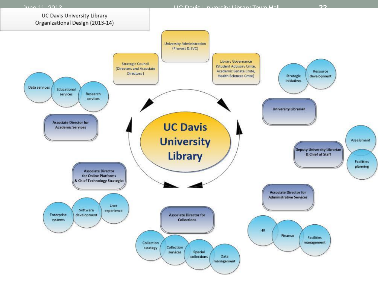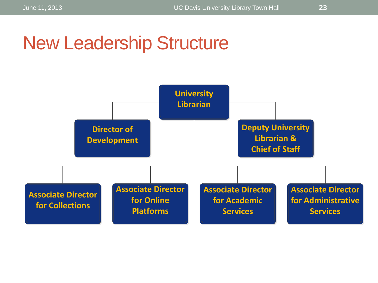#### New Leadership Structure

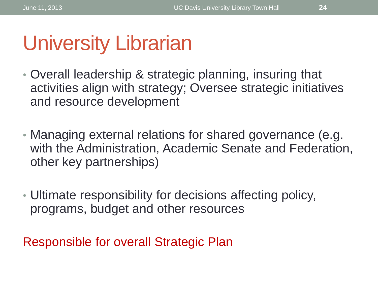# University Librarian

- Overall leadership & strategic planning, insuring that activities align with strategy; Oversee strategic initiatives and resource development
- Managing external relations for shared governance (e.g. with the Administration, Academic Senate and Federation, other key partnerships)
- Ultimate responsibility for decisions affecting policy, programs, budget and other resources

Responsible for overall Strategic Plan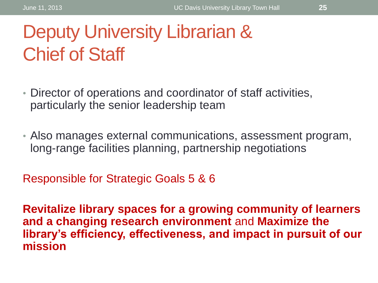### Deputy University Librarian & Chief of Staff

- Director of operations and coordinator of staff activities, particularly the senior leadership team
- Also manages external communications, assessment program, long-range facilities planning, partnership negotiations

Responsible for Strategic Goals 5 & 6

**Revitalize library spaces for a growing community of learners and a changing research environment** and **Maximize the library's efficiency, effectiveness, and impact in pursuit of our mission**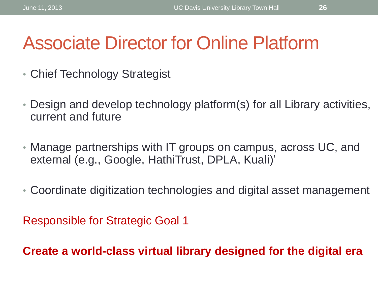#### Associate Director for Online Platform

- Chief Technology Strategist
- Design and develop technology platform(s) for all Library activities, current and future
- Manage partnerships with IT groups on campus, across UC, and external (e.g., Google, HathiTrust, DPLA, Kuali)'
- Coordinate digitization technologies and digital asset management

Responsible for Strategic Goal 1

**Create a world-class virtual library designed for the digital era**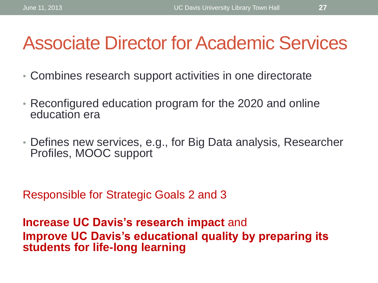#### Associate Director for Academic Services

- Combines research support activities in one directorate
- Reconfigured education program for the 2020 and online education era
- Defines new services, e.g., for Big Data analysis, Researcher Profiles, MOOC support

Responsible for Strategic Goals 2 and 3

**Increase UC Davis's research impact** and **Improve UC Davis's educational quality by preparing its students for life-long learning**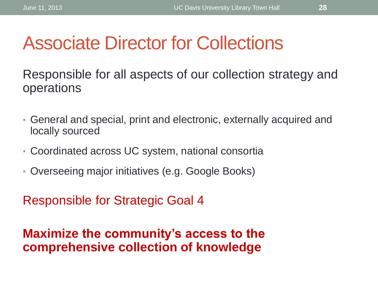### Associate Director for Collections

Responsible for all aspects of our collection strategy and operations

- General and special, print and electronic, externally acquired and locally sourced
- Coordinated across UC system, national consortia
- Overseeing major initiatives (e.g. Google Books)

Responsible for Strategic Goal 4

#### **Maximize the community's access to the comprehensive collection of knowledge**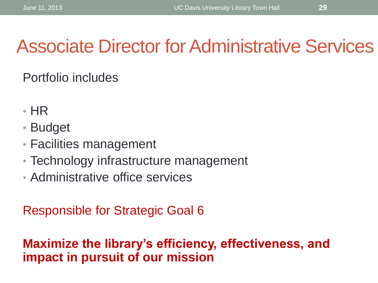### Associate Director for Administrative Services

Portfolio includes

- HR
- Budget
- Facilities management
- Technology infrastructure management
- Administrative office services

Responsible for Strategic Goal 6

#### **Maximize the library's efficiency, effectiveness, and impact in pursuit of our mission**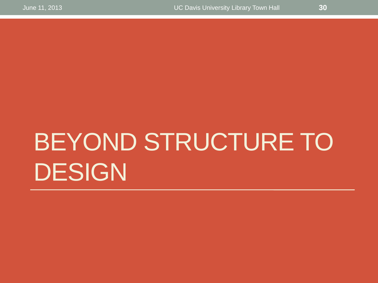# BEYOND STRUCTURE TO DESIGN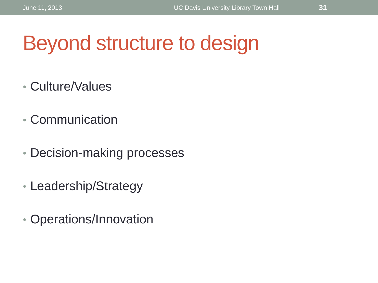# Beyond structure to design

- Culture/Values
- Communication
- Decision-making processes
- Leadership/Strategy
- Operations/Innovation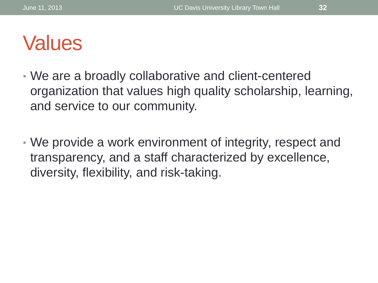### Values

- We are a broadly collaborative and client-centered organization that values high quality scholarship, learning, and service to our community.
- We provide a work environment of integrity, respect and transparency, and a staff characterized by excellence, diversity, flexibility, and risk-taking.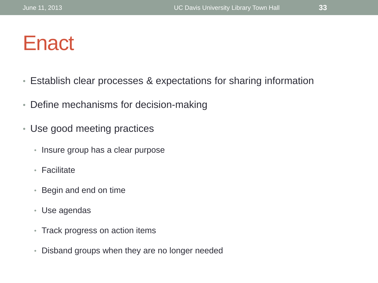### **Enact**

- Establish clear processes & expectations for sharing information
- Define mechanisms for decision-making
- Use good meeting practices
	- Insure group has a clear purpose
	- Facilitate
	- Begin and end on time
	- Use agendas
	- Track progress on action items
	- Disband groups when they are no longer needed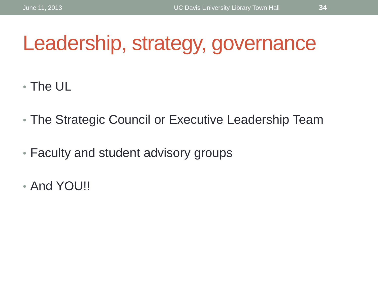# Leadership, strategy, governance

- The UL
- The Strategic Council or Executive Leadership Team
- Faculty and student advisory groups
- And YOU!!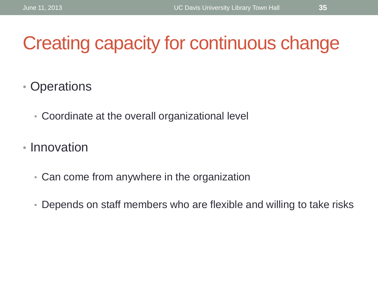### Creating capacity for continuous change

- Operations
	- Coordinate at the overall organizational level
- Innovation
	- Can come from anywhere in the organization
	- Depends on staff members who are flexible and willing to take risks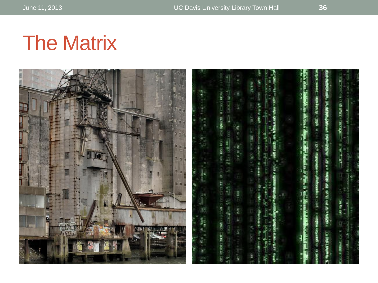# The Matrix

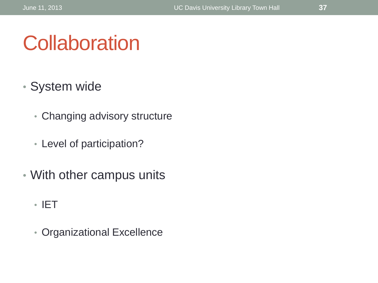# **Collaboration**

- System wide
	- Changing advisory structure
	- Level of participation?
- With other campus units
	- IET
	- Organizational Excellence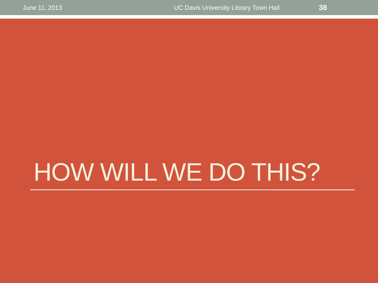# HOW WILL WE DO THIS?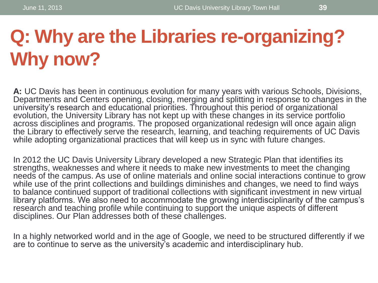## **Q: Why are the Libraries re-organizing? Why now?**

**A:** UC Davis has been in continuous evolution for many years with various Schools, Divisions, Departments and Centers opening, closing, merging and splitting in response to changes in the university's research and educational priorities. Throughout this period of organizational evolution, the University Library has not kept up with these changes in its service portfolio across disciplines and programs. The proposed organizational redesign will once again align the Library to effectively serve the research, learning, and teaching requirements of UC Davis while adopting organizational practices that will keep us in sync with future changes.

In 2012 the UC Davis University Library developed a new Strategic Plan that identifies its strengths, weaknesses and where it needs to make new investments to meet the changing needs of the campus. As use of online materials and online social interactions continue to grow while use of the print collections and buildings diminishes and changes, we need to find ways to balance continued support of traditional collections with significant investment in new virtual library platforms. We also need to accommodate the growing interdisciplinarity of the campus's research and teaching profile while continuing to support the unique aspects of different disciplines. Our Plan addresses both of these challenges.

In a highly networked world and in the age of Google, we need to be structured differently if we are to continue to serve as the university's academic and interdisciplinary hub.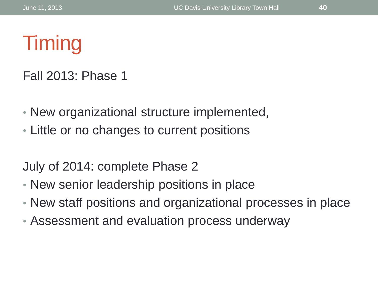# **Timing**

#### Fall 2013: Phase 1

- New organizational structure implemented,
- Little or no changes to current positions

#### July of 2014: complete Phase 2

- New senior leadership positions in place
- New staff positions and organizational processes in place
- Assessment and evaluation process underway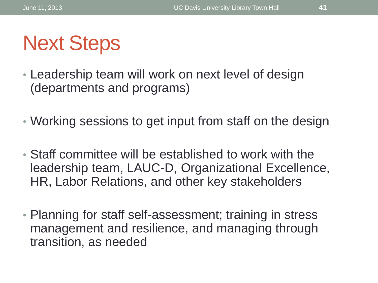# Next Steps

- Leadership team will work on next level of design (departments and programs)
- Working sessions to get input from staff on the design
- Staff committee will be established to work with the leadership team, LAUC-D, Organizational Excellence, HR, Labor Relations, and other key stakeholders
- Planning for staff self-assessment; training in stress management and resilience, and managing through transition, as needed